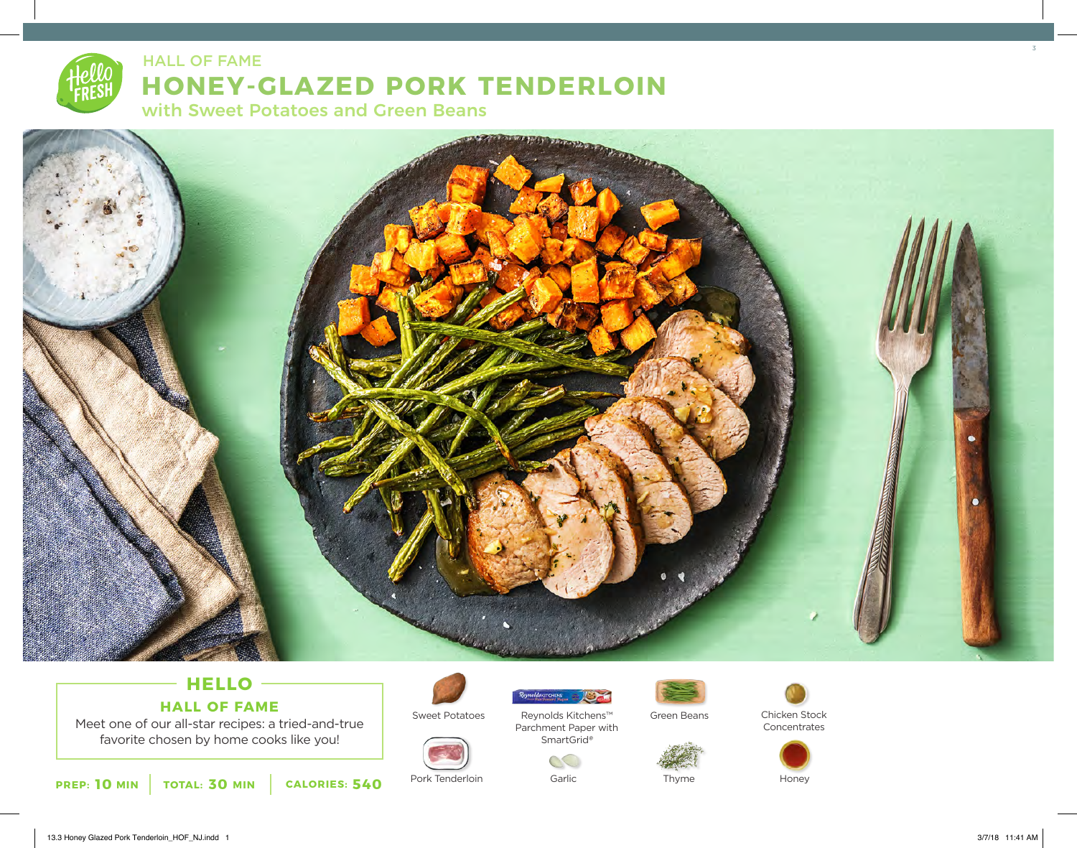# **HONEY-GLAZED PORK TENDERLOIN** with Sweet Potatoes and Green Beans HALL OF FAME ALL THE SERVICE OF THE SERVICE OF THE SERVICE OF THE SERVICE OF THE SERVICE OF THE SERVICE OF THE



## **HELLO HALL OF FAME**

Meet one of our all-star recipes: a tried-and-true favorite chosen by home cooks like you!

**10** MIN | TOTAL: 30 MIN | CALORIES: 540



Sweet Potatoes



Pork Tenderloin Garlic Garlic Thyme Honey



Reynolds Kitchens™ Parchment Paper with SmartGrid*®*

**ReynoldskitCHENS** 



Thyme



Chicken Stock **Concentrates**